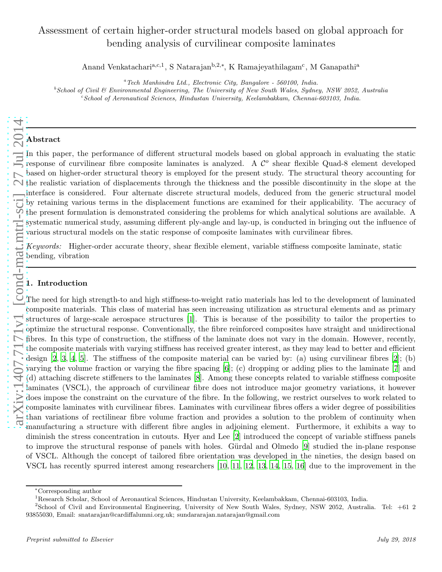# Assessment of certain higher-order structural models based on global approach for bending analysis of curvilinear composite laminates

Anand Venkatachari<sup>a,c,1</sup>, S Natarajan<sup>b,2,∗</sup>, K Ramajeyathilagam<sup>c</sup>, M Ganapathi<sup>a</sup>

 ${}^a$ Tech Manhindra Ltd., Electronic City, Bangalore - 560100, India.

 $b$ School of Civil & Environmental Engineering, The University of New South Wales, Sydney, NSW 2052, Australia  $c^c$ School of Aeronautical Sciences, Hindustan University, Keelambakkam, Chennai-603103, India.

# Abstract

In this paper, the performance of different structural models based on global approach in evaluating the static response of curvilinear fibre composite laminates is analyzed. A  $\mathcal{C}^o$  shear flexible Quad-8 element developed based on higher-order structural theory is employed for the present study. The structural theory accounting for the realistic variation of displacements through the thickness and the possible discontinuity in the slope at the interface is considered. Four alternate discrete structural models, deduced from the generic structural model by retaining various terms in the displacement functions are examined for their applicability. The accuracy of the present formulation is demonstrated considering the problems for which analytical solutions are available. A systematic numerical study, assuming different ply-angle and lay-up, is conducted in bringing out the influence of various structural models on the static response of composite laminates with curvilinear fibres.

*Keywords:* Higher-order accurate theory, shear flexible element, variable stiffness composite laminate, static bending, vibration

# 1. Introduction

The need for high strength-to and high stiffness-to-weight ratio materials has led to the development of laminated composite materials. This class of material has seen increasing utilization as structural elements and as primary composite materials. This class of material has seen increasing utilization as structural elements and as primary structures of large-scale aerospace structures  $[1]$ . This is because of the possibility to tailor the prop optimize the structural response. Conventionally, the fibre reinforced composites have straight and unidirectional fibres. In this type of construction, the stiffness of the laminate does not vary in the domain. However, recently, the composite materials with varying stiffness has received greater interest, as they may lead to better and efficient design [\[2](#page-14-1), [3](#page-14-2), [4,](#page-14-3) [5](#page-14-4)]. The stiffness of the composite material can be varied by: (a) using curvilinear fibres [\[2\]](#page-14-1); (b) varying the volume fraction or varying the fibre spacing [\[6\]](#page-18-0); (c) dropping or adding plies to the laminate [\[7](#page-18-1)] and (d) attaching discrete stiffeners to the laminates [\[8\]](#page-18-2). Among these concepts related to variable stiffness composite laminates (VSCL), the approach of curvilinear fibre does not introduce major geometry variations, it however does impose the constraint on the curvature of the fibre. In the following, we restrict ourselves to work related to composite laminates with curvilinear fibres. Laminates with curvilinear fibres offers a wider degree of possibilities than variations of rectilinear fibre volume fraction and provides a solution to the problem of continuity when manufacturing a structure with different fibre angles in adjoining element. Furthermore, it exhibits a way to diminish the stress concentration in cutouts. Hyer and Lee [\[2\]](#page-14-1) introduced the concept of variable stiffness panels to improve the structural response of panels with holes. Gürdal and Olmedo [\[9](#page-18-3)] studied the in-plane response of VSCL. Although the concept of tailored fibre orientation was developed in the nineties, the design based on VSCL has recently spurred interest among researchers [\[10](#page-18-4), [11](#page-18-5), [12](#page-18-6), [13](#page-18-7), [14,](#page-18-8) [15,](#page-18-9) [16\]](#page-18-10) due to the improvement in the

<sup>∗</sup>Corresponding author

<sup>1</sup>Research Scholar, School of Aeronautical Sciences, Hindustan University, Keelambakkam, Chennai-603103, India.

<sup>&</sup>lt;sup>2</sup>School of Civil and Environmental Engineering, University of New South Wales, Sydney, NSW 2052, Australia. Tel: +61 2 93855030, Email: snatarajan@cardiffalumni.org.uk; sundararajan.natarajan@gmail.com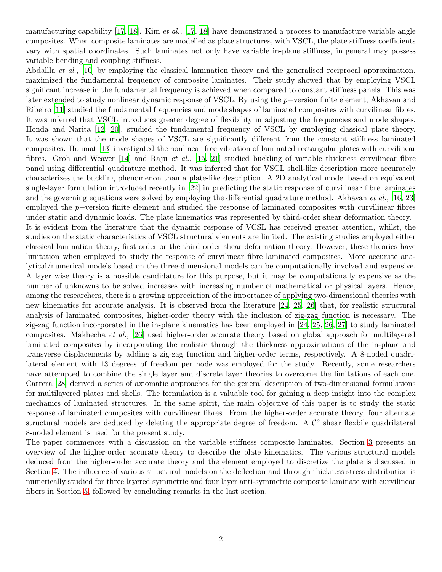manufacturing capability [\[17,](#page-18-11) [18](#page-18-12)]. Kim *et al.,* [\[17](#page-18-11), [18](#page-18-12)] have demonstrated a process to manufacture variable angle composites. When composite laminates are modelled as plate structures, with VSCL, the plate stiffness coefficients vary with spatial coordinates. Such laminates not only have variable in-plane stiffness, in general may possess variable bending and coupling stiffness.

Abdallla *et al.*, [\[10](#page-18-4)] by employing the classical lamination theory and the generalised reciprocal approximation, maximized the fundamental frequency of composite laminates. Their study showed that by employing VSCL significant increase in the fundamental frequency is achieved when compared to constant stiffness panels. This was later extended to study nonlinear dynamic response of VSCL. By using the p−version finite element, Akhavan and Ribeiro [\[11](#page-18-5)] studied the fundamental frequencies and mode shapes of laminated composites with curvilinear fibres. It was inferred that VSCL introduces greater degree of flexibility in adjusting the frequencies and mode shapes. Honda and Narita [\[12](#page-18-6), [20](#page-18-13)], studied the fundamental frequency of VSCL by employing classical plate theory. It was shown that the mode shapes of VSCL are significantly different from the constant stiffness laminated composites. Houmat [\[13](#page-18-7)] investigated the nonlinear free vibration of laminated rectangular plates with curvilinear fibres. Groh and Weaver [\[14](#page-18-8)] and Raju *et al.,* [\[15](#page-18-9), [21](#page-18-14)] studied buckling of variable thickness curvilinear fibre panel using differential quadrature method. It was inferred that for VSCL shell-like description more accurately characterizes the buckling phenomenon than a plate-like description. A 2D analytical model based on equivalent single-layer formulation introduced recently in [\[22](#page-18-15)] in predicting the static response of curvilinear fibre laminates and the governing equations were solved by employing the differential quadrature method. Akhavan *et al.,* [\[16,](#page-18-10) [23](#page-18-16)] employed the p−version finite element and studied the response of laminated composites with curvilinear fibres under static and dynamic loads. The plate kinematics was represented by third-order shear deformation theory. It is evident from the literature that the dynamic response of VCSL has received greater attention, whilst, the studies on the static characteristics of VSCL structural elements are limited. The existing studies employed either classical lamination theory, first order or the third order shear deformation theory. However, these theories have limitation when employed to study the response of curvilinear fibre laminated composites. More accurate analytical/numerical models based on the three-dimensional models can be computationally involved and expensive. A layer wise theory is a possible candidature for this purpose, but it may be computationally expensive as the number of unknowns to be solved increases with increasing number of mathematical or physical layers. Hence, among the researchers, there is a growing appreciation of the importance of applying two-dimensional theories with new kinematics for accurate analysis. It is observed from the literature [\[24,](#page-18-17) [25,](#page-19-0) [26](#page-19-1)] that, for realistic structural analysis of laminated composites, higher-order theory with the inclusion of zig-zag function is necessary. The zig-zag function incorporated in the in-plane kinematics has been employed in [\[24](#page-18-17), [25,](#page-19-0) [26](#page-19-1), [27\]](#page-19-2) to study laminated composites. Makhecha *et al.,* [\[26](#page-19-1)] used higher-order accurate theory based on global approach for multilayered laminated composites by incorporating the realistic through the thickness approximations of the in-plane and transverse displacements by adding a zig-zag function and higher-order terms, respectively. A 8-noded quadrilateral element with 13 degrees of freedom per node was employed for the study. Recently, some researchers have attempted to combine the single layer and discrete layer theories to overcome the limitations of each one. Carrera [\[28](#page-19-3)] derived a series of axiomatic approaches for the general description of two-dimensional formulations for multilayered plates and shells. The formulation is a valuable tool for gaining a deep insight into the complex mechanics of laminated structures. In the same spirit, the main objective of this paper is to study the static response of laminated composites with curvilinear fibres. From the higher-order accurate theory, four alternate structural models are deduced by deleting the appropriate degree of freedom. A  $\mathcal{C}^o$  shear flexbile quadrilateral 8-noded element is used for the present study.

The paper commences with a discussion on the variable stiffness composite laminates. Section [3](#page-3-0) presents an overview of the higher-order accurate theory to describe the plate kinematics. The various structural models deduced from the higher-order accurate theory and the element employed to discretize the plate is discussed in Section [4.](#page-5-0) The influence of various structural models on the deflection and through thickness stress distribution is numerically studied for three layered symmetric and four layer anti-symmetric composite laminate with curvilinear fibers in Section [5,](#page-6-0) followed by concluding remarks in the last section.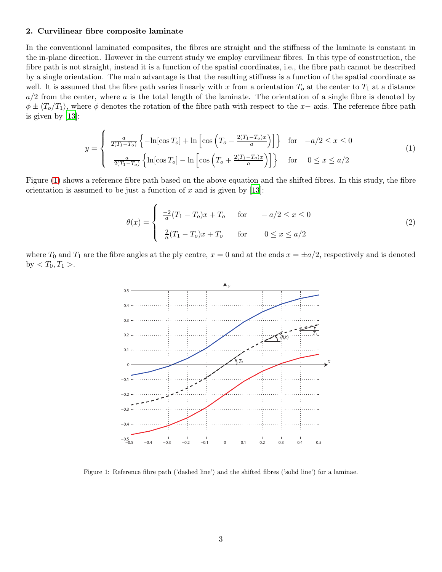#### 2. Curvilinear fibre composite laminate

In the conventional laminated composites, the fibres are straight and the stiffness of the laminate is constant in the in-plane direction. However in the current study we employ curvilinear fibres. In this type of construction, the fibre path is not straight, instead it is a function of the spatial coordinates, i.e., the fibre path cannot be described by a single orientation. The main advantage is that the resulting stiffness is a function of the spatial coordinate as well. It is assumed that the fibre path varies linearly with x from a orientation  $T_0$  at the center to  $T_1$  at a distance  $a/2$  from the center, where a is the total length of the laminate. The orientation of a single fibre is denoted by  $\phi \pm \langle T_o/T_1 \rangle$ , where  $\phi$  denotes the rotation of the fibre path with respect to the x– axis. The reference fibre path is given by [\[13](#page-18-7)]:

$$
y = \begin{cases} \frac{a}{2(T_1 - T_o)} \left\{ -\ln[\cos T_o] + \ln\left[\cos\left(T_o - \frac{2(T_1 - T_o)x}{a}\right)\right] \right\} & \text{for } -a/2 \le x \le 0\\ \frac{a}{2(T_1 - T_o)} \left\{ \ln[\cos T_o] - \ln\left[\cos\left(T_o + \frac{2(T_1 - T_o)x}{a}\right)\right] \right\} & \text{for } 0 \le x \le a/2 \end{cases}
$$
(1)

Figure [\(1\)](#page-2-0) shows a reference fibre path based on the above equation and the shifted fibres. In this study, the fibre orientation is assumed to be just a function of  $x$  and is given by [\[13\]](#page-18-7):

$$
\theta(x) = \begin{cases}\n\frac{-2}{a}(T_1 - T_o)x + T_o & \text{for } -a/2 \le x \le 0 \\
\frac{2}{a}(T_1 - T_o)x + T_o & \text{for } 0 \le x \le a/2\n\end{cases}
$$
\n(2)

where  $T_0$  and  $T_1$  are the fibre angles at the ply centre,  $x = 0$  and at the ends  $x = \pm a/2$ , respectively and is denoted by  $T_0, T_1 >$ .



<span id="page-2-0"></span>Figure 1: Reference fibre path ('dashed line') and the shifted fibres ('solid line') for a laminae.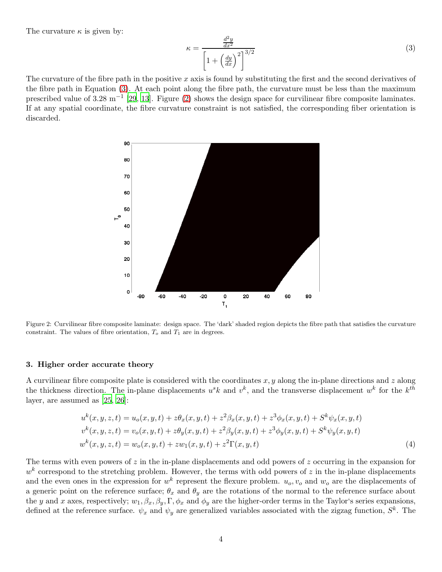The curvature  $\kappa$  is given by:

<span id="page-3-1"></span>
$$
\kappa = \frac{\frac{d^2y}{dx^2}}{\left[1 + \left(\frac{dy}{dx}\right)^2\right]^{3/2}}
$$
\n(3)

The curvature of the fibre path in the positive x axis is found by substituting the first and the second derivatives of the fibre path in Equation [\(3\)](#page-3-1). At each point along the fibre path, the curvature must be less than the maximum prescribed value of 3.28 m<sup>-1</sup> [\[29](#page-19-4), [13\]](#page-18-7). Figure [\(2\)](#page-3-2) shows the design space for curvilinear fibre composite laminates. If at any spatial coordinate, the fibre curvature constraint is not satisfied, the corresponding fiber orientation is discarded.



<span id="page-3-2"></span>Figure 2: Curvilinear fibre composite laminate: design space. The 'dark' shaded region depicts the fibre path that satisfies the curvature constraint. The values of fibre orientation,  $T<sub>o</sub>$  and  $T<sub>1</sub>$  are in degrees.

#### <span id="page-3-0"></span>3. Higher order accurate theory

A curvilinear fibre composite plate is considered with the coordinates  $x, y$  along the in-plane directions and  $z$  along the thickness direction. The in-plane displacements  $u^s k$  and  $v^k$ , and the transverse displacement  $w^k$  for the  $k^{th}$ layer, are assumed as [\[25,](#page-19-0) [26](#page-19-1)]:

<span id="page-3-3"></span>
$$
u^{k}(x, y, z, t) = u_{o}(x, y, t) + z\theta_{x}(x, y, t) + z^{2}\beta_{x}(x, y, t) + z^{3}\phi_{x}(x, y, t) + S^{k}\psi_{x}(x, y, t)
$$
  
\n
$$
v^{k}(x, y, z, t) = v_{o}(x, y, t) + z\theta_{y}(x, y, t) + z^{2}\beta_{y}(x, y, t) + z^{3}\phi_{y}(x, y, t) + S^{k}\psi_{y}(x, y, t)
$$
  
\n
$$
w^{k}(x, y, z, t) = w_{o}(x, y, t) + zw_{1}(x, y, t) + z^{2}\Gamma(x, y, t)
$$
\n(4)

The terms with even powers of z in the in-plane displacements and odd powers of z occurring in the expansion for  $w<sup>k</sup>$  correspond to the stretching problem. However, the terms with odd powers of z in the in-plane displacements and the even ones in the expression for  $w^k$  represent the flexure problem.  $u_o, v_o$  and  $w_o$  are the displacements of a generic point on the reference surface;  $\theta_x$  and  $\theta_y$  are the rotations of the normal to the reference surface about the y and x axes, respectively;  $w_1, \beta_x, \beta_y, \Gamma, \phi_x$  and  $\phi_y$  are the higher-order terms in the Taylor's series expansions, defined at the reference surface.  $\psi_x$  and  $\psi_y$  are generalized variables associated with the zigzag function,  $S^k$ . The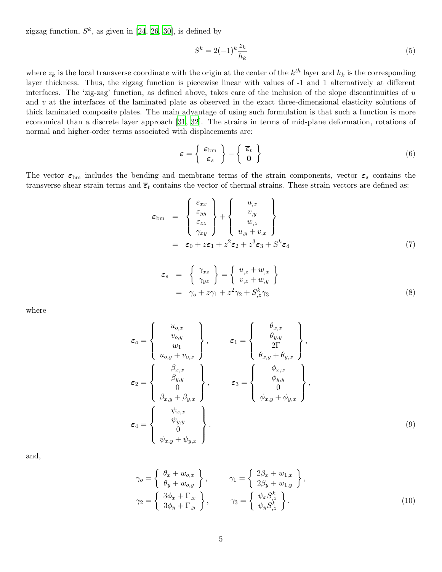zigzag function,  $S^k$ , as given in [\[24](#page-18-17), [26,](#page-19-1) [30](#page-19-5)], is defined by

$$
S^k = 2(-1)^k \frac{z_k}{h_k} \tag{5}
$$

where  $z_k$  is the local transverse coordinate with the origin at the center of the  $k^{th}$  layer and  $h_k$  is the corresponding layer thickness. Thus, the zigzag function is piecewise linear with values of -1 and 1 alternatively at different interfaces. The 'zig-zag' function, as defined above, takes care of the inclusion of the slope discontinuities of  $u$ and v at the interfaces of the laminated plate as observed in the exact three-dimensional elasticity solutions of thick laminated composite plates. The main advantage of using such formulation is that such a function is more economical than a discrete layer approach [\[31](#page-19-6), [32](#page-19-7)]. The strains in terms of mid-plane deformation, rotations of normal and higher-order terms associated with displacements are:

$$
\varepsilon = \left\{ \begin{array}{c} \varepsilon_{\rm bm} \\ \varepsilon_s \end{array} \right\} - \left\{ \begin{array}{c} \overline{\varepsilon}_t \\ 0 \end{array} \right\} \tag{6}
$$

The vector  $\varepsilon_{\text{bm}}$  includes the bending and membrane terms of the strain components, vector  $\varepsilon_s$  contains the transverse shear strain terms and  $\bar{\epsilon}_t$  contains the vector of thermal strains. These strain vectors are defined as:

$$
\varepsilon_{\text{bm}} = \begin{Bmatrix} \varepsilon_{xx} \\ \varepsilon_{yy} \\ \varepsilon_{zz} \\ \gamma_{xy} \end{Bmatrix} + \begin{Bmatrix} u_{,x} \\ v_{,y} \\ w_{,z} \\ u_{,y} + v_{,x} \end{Bmatrix}
$$

$$
= \varepsilon_0 + z\varepsilon_1 + z^2 \varepsilon_2 + z^3 \varepsilon_3 + S^k \varepsilon_4 \tag{7}
$$

$$
\varepsilon_s = \begin{cases} \gamma_{xz} \\ \gamma_{yz} \end{cases} = \begin{cases} u_{,z} + w_{,x} \\ v_{,z} + w_{,y} \end{cases}
$$
  
=  $\gamma_o + z\gamma_1 + z^2\gamma_2 + S^k_{,z}\gamma_3$  (8)

where

$$
\varepsilon_{o} = \begin{Bmatrix} u_{o,x} \\ v_{o,y} \\ w_1 \\ u_{o,y} + v_{o,x} \end{Bmatrix}, \qquad \varepsilon_{1} = \begin{Bmatrix} \theta_{x,x} \\ \theta_{y,y} \\ 2\Gamma \\ \theta_{x,y} + \theta_{y,x} \end{Bmatrix},
$$
\n
$$
\varepsilon_{2} = \begin{Bmatrix} \beta_{x,x} \\ \beta_{y,y} \\ 0 \\ \beta_{x,y} + \beta_{y,x} \end{Bmatrix}, \qquad \varepsilon_{3} = \begin{Bmatrix} \phi_{x,x} \\ \phi_{y,y} \\ 0 \\ \phi_{x,y} + \phi_{y,x} \end{Bmatrix},
$$
\n
$$
\varepsilon_{4} = \begin{Bmatrix} \psi_{x,x} \\ \psi_{y,y} \\ 0 \\ \psi_{x,y} + \psi_{y,x} \end{Bmatrix}.
$$
\n(9)

and,

$$
\gamma_o = \begin{cases} \theta_x + w_{o,x} \\ \theta_y + w_{o,y} \end{cases}, \qquad \gamma_1 = \begin{cases} 2\beta_x + w_{1,x} \\ 2\beta_y + w_{1,y} \end{cases},
$$
  

$$
\gamma_2 = \begin{cases} 3\phi_x + \Gamma_{,x} \\ 3\phi_y + \Gamma_{,y} \end{cases}, \qquad \gamma_3 = \begin{cases} \psi_x S_x^k \\ \psi_y S_z^k \end{cases}.
$$
 (10)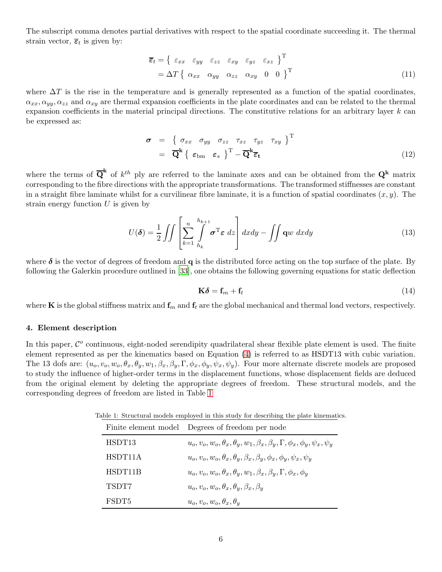The subscript comma denotes partial derivatives with respect to the spatial coordinate succeeding it. The thermal strain vector,  $\overline{\epsilon}_t$  is given by:

$$
\overline{\epsilon}_{t} = \left\{ \begin{array}{ll} \varepsilon_{xx} & \varepsilon_{yy} & \varepsilon_{zz} & \varepsilon_{xy} & \varepsilon_{xz} \end{array} \right\}^{\mathrm{T}} \\
= \Delta T \left\{ \begin{array}{ll} \alpha_{xx} & \alpha_{yy} & \alpha_{zz} & \alpha_{xy} & 0 & 0 \end{array} \right\}^{\mathrm{T}} \tag{11}
$$

where  $\Delta T$  is the rise in the temperature and is generally represented as a function of the spatial coordinates,  $\alpha_{xx}, \alpha_{yy}, \alpha_{zz}$  and  $\alpha_{xy}$  are thermal expansion coefficients in the plate coordinates and can be related to the thermal expansion coefficients in the material principal directions. The constitutive relations for an arbitrary layer  $k$  can be expressed as:

$$
\boldsymbol{\sigma} = \left\{ \begin{array}{ll} \sigma_{xx} & \sigma_{yy} & \sigma_{zz} & \tau_{xz} & \tau_{yz} & \tau_{xy} \end{array} \right\}^{\mathrm{T}}
$$
\n
$$
= \overline{\mathbf{Q}}^{\mathbf{k}} \left\{ \varepsilon_{\mathrm{bm}} \varepsilon_{s} \right\}^{\mathrm{T}} - \overline{\mathbf{Q}}^{\mathbf{k}} \overline{\varepsilon}_{\mathbf{t}} \tag{12}
$$

where the terms of  $\overline{Q}^k$  of  $k^{th}$  ply are referred to the laminate axes and can be obtained from the  $Q^k$  matrix corresponding to the fibre directions with the appropriate transformations. The transformed stiffnesses are constant in a straight fibre laminate whilst for a curvilinear fibre laminate, it is a function of spatial coordinates  $(x, y)$ . The strain energy function  $U$  is given by

$$
U(\boldsymbol{\delta}) = \frac{1}{2} \iint \left[ \sum_{k=1}^{n} \int_{h_k}^{h_{k+1}} \sigma^{\mathrm{T}} \boldsymbol{\varepsilon} \, dz \right] dx dy - \iint \mathbf{q}w \, dx dy \tag{13}
$$

where  $\delta$  is the vector of degrees of freedom and q is the distributed force acting on the top surface of the plate. By following the Galerkin procedure outlined in [\[33](#page-19-8)], one obtains the following governing equations for static deflection

$$
\mathbf{K}\boldsymbol{\delta} = \mathbf{f}_m + \mathbf{f}_t \tag{14}
$$

where **K** is the global stiffness matrix and  $f_m$  and  $f_t$  are the global mechanical and thermal load vectors, respectively.

#### <span id="page-5-0"></span>4. Element description

In this paper,  $\mathcal{C}^o$  continuous, eight-noded serendipity quadrilateral shear flexible plate element is used. The finite element represented as per the kinematics based on Equation [\(4\)](#page-3-3) is referred to as HSDT13 with cubic variation. The 13 dofs are:  $(u_o, v_o, w_o, \theta_x, \theta_y, w_1, \beta_x, \beta_y, \Gamma, \phi_x, \phi_y, \psi_x, \psi_y)$ . Four more alternate discrete models are proposed to study the influence of higher-order terms in the displacement functions, whose displacement fields are deduced from the original element by deleting the appropriate degrees of freedom. These structural models, and the corresponding degrees of freedom are listed in Table [1](#page-5-1)

Table 1: Structural models employed in this study for describing the plate kinematics.

<span id="page-5-1"></span>

|         | Finite element model Degrees of freedom per node                                                   |
|---------|----------------------------------------------------------------------------------------------------|
| HSDT13  | $u_0, v_0, w_0, \theta_x, \theta_y, w_1, \beta_x, \beta_y, \Gamma, \phi_x, \phi_y, \psi_x, \psi_y$ |
| HSDT11A | $u_o, v_o, w_o, \theta_x, \theta_y, \beta_x, \beta_y, \phi_x, \phi_y, \psi_x, \psi_y$              |
| HSDT11B | $u_0, v_0, w_0, \theta_x, \theta_y, w_1, \beta_x, \beta_y, \Gamma, \phi_x, \phi_y$                 |
| TSDT7   | $u_o, v_o, w_o, \theta_x, \theta_y, \beta_x, \beta_y$                                              |
| FSDT5   | $u_o, v_o, w_o, \theta_x, \theta_y$                                                                |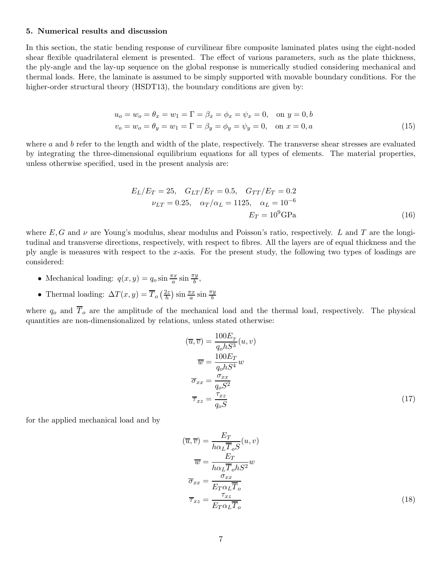## <span id="page-6-0"></span>5. Numerical results and discussion

In this section, the static bending response of curvilinear fibre composite laminated plates using the eight-noded shear flexible quadrilateral element is presented. The effect of various parameters, such as the plate thickness, the ply-angle and the lay-up sequence on the global response is numerically studied considering mechanical and thermal loads. Here, the laminate is assumed to be simply supported with movable boundary conditions. For the higher-order structural theory (HSDT13), the boundary conditions are given by:

$$
u_o = w_o = \theta_x = w_1 = \Gamma = \beta_x = \phi_x = \psi_x = 0, \text{ on } y = 0, b
$$
  

$$
v_o = w_o = \theta_y = w_1 = \Gamma = \beta_y = \phi_y = \psi_y = 0, \text{ on } x = 0, a
$$
 (15)

where  $a$  and  $b$  refer to the length and width of the plate, respectively. The transverse shear stresses are evaluated by integrating the three-dimensional equilibrium equations for all types of elements. The material properties, unless otherwise specified, used in the present analysis are:

$$
E_L/E_T = 25, \quad G_{LT}/E_T = 0.5, \quad G_{TT}/E_T = 0.2
$$
  

$$
\nu_{LT} = 0.25, \quad \alpha_T/\alpha_L = 1125, \quad \alpha_L = 10^{-6}
$$
  

$$
E_T = 10^9
$$
 GPa (16)

where E, G and  $\nu$  are Young's modulus, shear modulus and Poisson's ratio, respectively. L and T are the longitudinal and transverse directions, respectively, with respect to fibres. All the layers are of equal thickness and the ply angle is measures with respect to the x-axis. For the present study, the following two types of loadings are considered:

- Mechanical loading:  $q(x, y) = q_o \sin \frac{\pi x}{a} \sin \frac{\pi y}{b}$ ,
- Thermal loading:  $\Delta T(x,y) = \overline{T}_o \left( \frac{2z}{h} \right)$  $\frac{2z}{h}$ )  $\sin \frac{\pi x}{a} \sin \frac{\pi y}{b}$

where  $q_o$  and  $\overline{T}_o$  are the amplitude of the mechanical load and the thermal load, respectively. The physical quantities are non-dimensionalized by relations, unless stated otherwise:

$$
(\overline{u}, \overline{v}) = \frac{100E_{T}}{q_{o}hS^{3}}(u, v)
$$

$$
\overline{w} = \frac{100E_{T}}{q_{o}hS^{4}}w
$$

$$
\overline{\sigma}_{xx} = \frac{\sigma_{xx}}{q_{o}S^{2}}
$$

$$
\overline{\tau}_{xz} = \frac{\tau_{xz}}{q_{o}S}
$$
(17)

for the applied mechanical load and by

$$
(\overline{u}, \overline{v}) = \frac{E_T}{h\alpha_L \overline{T}_o S}(u, v)
$$
  

$$
\overline{w} = \frac{E_T}{h\alpha_L \overline{T}_o h S^2} w
$$
  

$$
\overline{\sigma}_{xx} = \frac{\sigma_{xx}}{E_T \alpha_L \overline{T}_o}
$$
  

$$
\overline{\tau}_{xz} = \frac{\tau_{xz}}{E_T \alpha_L \overline{T}_o}
$$
 (18)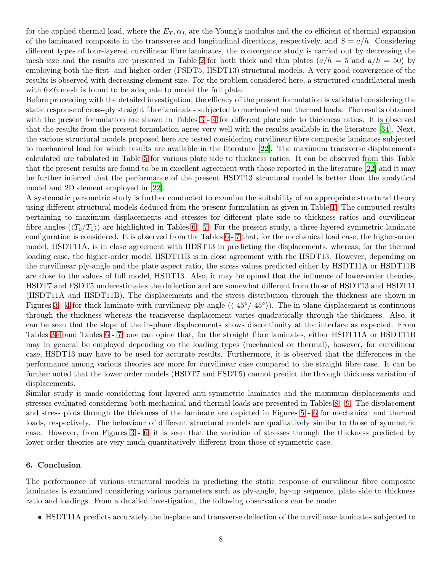for the applied thermal load, where the  $E_T, \alpha_L$  are the Young's modulus and the co-efficient of thermal expansion of the laminated composite in the transverse and longitudinal directions, respectively, and  $S = a/h$ . Considering different types of four-layered curvilinear fibre laminates, the convergence study is carried out by decreasing the mesh size and the results are presented in Table [2](#page-8-0) for both thick and thin plates  $(a/h = 5$  and  $a/h = 50$  by employing both the first- and higher-order (FSDT5, HSDT13) structural models. A very good convergence of the results is observed with decreasing element size. For the problem considered here, a structured quadrilateral mesh with  $6\times6$  mesh is found to be adequate to model the full plate.

Before proceeding with the detailed investigation, the efficacy of the present formulation is validated considering the static response of cross-ply straight fibre laminates subjected to mechanical and thermal loads. The results obtained with the present formulation are shown in Tables [3](#page-9-0) - [4](#page-9-1) for different plate side to thickness ratios. It is observed that the results from the present formulation agree very well with the results available in the literature [\[34](#page-19-9)]. Next, the various structural models proposed here are tested considering curvilinear fibre composite laminates subjected to mechanical load for which results are available in the literature [\[22\]](#page-18-15). The maximum transverse displacements calculated are tabulated in Table [5](#page-14-5) for various plate side to thickness ratios. It can be observed from this Table that the present results are found to be in excellent agreement with those reported in the literature [\[22\]](#page-18-15) and it may be further inferred that the performance of the present HSDT13 structural model is better than the analytical model and 2D element employed in [\[22](#page-18-15)].

A systematic parametric study is further conducted to examine the suitability of an appropriate structural theory using different structural models deduced from the present formulation as given in Table [1.](#page-5-1) The computed results pertaining to maximum displacements and stresses for different plate side to thickness ratios and curvilinear fibre angles  $(\langle T_o/T_1 \rangle)$  are highlighted in Tables [6](#page-15-0) - [7.](#page-16-0) For the present study, a three-layered symmetric laminate configuration is considered. It is observed from the Tables [6](#page-15-0) - [7](#page-16-0) that, for the mechanical load case, the higher-order model, HSDT11A, is in close agreement with HDST13 in predicting the displacements, whereas, for the thermal loading case, the higher-order model HSDT11B is in close agreement with the HSDT13. However, depending on the curvilinear ply-angle and the plate aspect ratio, the stress values predicted either by HSDT11A or HSDT11B are close to the values of full model, HSDT13. Also, it may be opined that the influence of lower-order theories, HSDT7 and FSDT5 underestimates the deflection and are somewhat different from those of HSDT13 and HSDT11 (HSDT11A and HSDT11B). The displacements and the stress distribution through the thickness are shown in Figures [3](#page-10-0)- [4](#page-11-0) for thick laminate with curvilinear ply-angle  $(\langle 45°/45° \rangle)$ . The in-plane displacement is continuous through the thickness whereas the transverse displacement varies quadratically through the thickness. Also, it can be seen that the slope of the in-plane displacements shows discontinuity at the interface as expected. From Tables [3](#page-9-0)[-4](#page-9-1) and Tables [6](#page-15-0) - [7,](#page-16-0) one can opine that, for the straight fibre laminates, either HSDT11A or HSDT11B may in general be employed depending on the loading types (mechanical or thermal), however, for curvilinear case, HSDT13 may have to be used for accurate results. Furthermore, it is observed that the differences in the performance among various theories are more for curvilinear case compared to the straight fibre case. It can be further noted that the lower order models (HSDT7 and FSDT5) cannot predict the through thickness variation of displacements.

Similar study is made considering four-layered anti-symmetric laminates and the maximum displacements and stresses evaluated considering both mechanical and thermal loads are presented in Tables [8](#page-17-0)- [9.](#page-17-1) The displacement and stress plots through the thickness of the laminate are depicted in Figures [5](#page-12-0) - [6](#page-13-0) for mechanical and thermal loads, respectively. The behaviour of different structural models are qualitatively similar to those of symmetric case. However, from Figures [3](#page-10-0) - [6,](#page-13-0) it is seen that the variation of stresses through the thickness predicted by lower-order theories are very much quantitatively different from those of symmetric case.

### 6. Conclusion

The performance of various structural models in predicting the static response of curvilinear fibre composite laminates is examined considering various parameters such as ply-angle, lay-up sequence, plate side to thickness ratio and loadings. From a detailed investigation, the following observations can be made:

• HSDT11A predicts accurately the in-plane and transverse deflection of the curvilinear laminates subjected to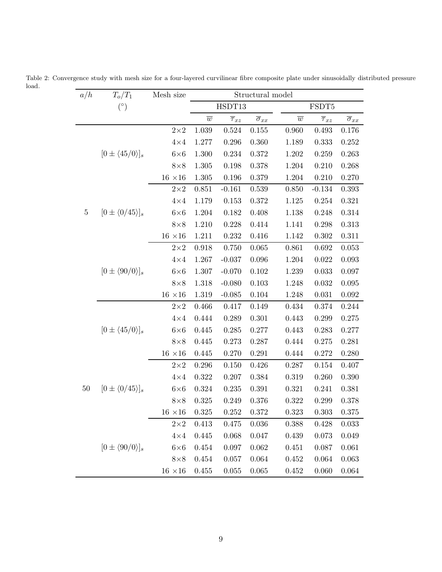<span id="page-8-0"></span>

| a/h     | $T_o/T_1$                                                         | Mesh size        | Structural model |                        |                          |                |                        |                          |
|---------|-------------------------------------------------------------------|------------------|------------------|------------------------|--------------------------|----------------|------------------------|--------------------------|
|         | $\left( \begin{smallmatrix} \circ \\ & \end{smallmatrix} \right)$ |                  |                  | HSDT13                 |                          |                | FSDT5                  |                          |
|         |                                                                   |                  | $\overline{w}$   | $\overline{\tau}_{xz}$ | $\overline{\sigma}_{xx}$ | $\overline{w}$ | $\overline{\tau}_{xz}$ | $\overline{\sigma}_{xx}$ |
|         |                                                                   | $2 \!\times\! 2$ | 1.039            | 0.524                  | 0.155                    | 0.960          | 0.493                  | 0.176                    |
|         |                                                                   | $4\times4$       | 1.277            | 0.296                  | 0.360                    | 1.189          | 0.333                  | 0.252                    |
|         | $[0\pm\langle45/0\rangle]_s$                                      | $6\times6$       | 1.300            | 0.234                  | 0.372                    | 1.202          | 0.259                  | 0.263                    |
|         |                                                                   | $8\times8$       | 1.305            | 0.198                  | 0.378                    | 1.204          | 0.210                  | 0.268                    |
|         |                                                                   | $16$ $\times 16$ | 1.305            | 0.196                  | 0.379                    | 1.204          | 0.210                  | 0.270                    |
|         |                                                                   | $2{\times}2$     | 0.851            | $-0.161$               | 0.539                    | 0.850          | $-0.134$               | 0.393                    |
|         |                                                                   | $4\times4$       | 1.179            | 0.153                  | 0.372                    | 1.125          | 0.254                  | 0.321                    |
| $\bf 5$ | $[0 \pm \langle 0/45 \rangle]_s$                                  | $6\times6$       | 1.204            | 0.182                  | 0.408                    | 1.138          | 0.248                  | 0.314                    |
|         |                                                                   | $8\times8$       | 1.210            | 0.228                  | 0.414                    | 1.141          | 0.298                  | 0.313                    |
|         |                                                                   | $16 \times 16$   | 1.211            | 0.232                  | 0.416                    | 1.142          | 0.302                  | 0.311                    |
|         |                                                                   | $2 \!\times\! 2$ | 0.918            | 0.750                  | 0.065                    | 0.861          | 0.692                  | 0.053                    |
|         |                                                                   | $4\times4$       | 1.267            | $-0.037$               | 0.096                    | 1.204          | 0.022                  | 0.093                    |
|         | $[0\pm \langle 90/0 \rangle]_s$                                   | $6\times6$       | 1.307            | $-0.070$               | 0.102                    | 1.239          | 0.033                  | 0.097                    |
|         |                                                                   | $8\times8$       | 1.318            | $-0.080$               | 0.103                    | 1.248          | 0.032                  | 0.095                    |
|         |                                                                   | $16 \times 16$   | 1.319            | $-0.085$               | 0.104                    | 1.248          | 0.031                  | $0.092\,$                |
|         |                                                                   | $2\times 2$      | 0.466            | 0.417                  | 0.149                    | 0.434          | 0.374                  | 0.244                    |
|         |                                                                   | $4 \times 4$     | 0.444            | 0.289                  | 0.301                    | 0.443          | 0.299                  | 0.275                    |
|         | $[0\pm\langle45/0\rangle]_s$                                      | $6\times6$       | 0.445            | 0.285                  | 0.277                    | 0.443          | 0.283                  | 0.277                    |
|         |                                                                   | $8\times8$       | 0.445            | 0.273                  | 0.287                    | 0.444          | 0.275                  | 0.281                    |
|         |                                                                   | $16$ $\times 16$ | 0.445            | 0.270                  | 0.291                    | 0.444          | 0.272                  | 0.280                    |
|         |                                                                   | $2\times 2$      | 0.296            | 0.150                  | 0.426                    | 0.287          | 0.154                  | 0.407                    |
|         |                                                                   | $4\times4$       | 0.322            | 0.207                  | 0.384                    | 0.319          | 0.260                  | 0.390                    |
| $50\,$  | $[0 \pm \langle 0/45 \rangle]_s$                                  | $6\times 6$      | 0.324            | 0.235                  | 0.391                    | 0.321          | 0.241                  | 0.381                    |
|         |                                                                   | $8\times 8$      | 0.325            | 0.249                  | 0.376                    | 0.322          | 0.299                  | 0.378                    |
|         |                                                                   | $16 \times 16$   | 0.325            | 0.252                  | 0.372                    | 0.323          | 0.303                  | 0.375                    |
|         |                                                                   | $2\times 2$      | $\!.413$         | 0.475                  | 0.036                    | 0.388          | 0.428                  | 0.033                    |
|         |                                                                   | $4\times4$       | 0.445            | 0.068                  | 0.047                    | 0.439          | 0.073                  | 0.049                    |
|         | $[0\pm \langle 90/0 \rangle]_s$                                   | $6\times 6$      | 0.454            | 0.097                  | 0.062                    | 0.451          | 0.087                  | 0.061                    |
|         |                                                                   | $8\times 8$      | 0.454            | 0.057                  | 0.064                    | $0.452\,$      | 0.064                  | 0.063                    |
|         |                                                                   | $16\;\times\!16$ | 0.455            | 0.055                  | 0.065                    | 0.452          | 0.060                  | 0.064                    |

Table 2: Convergence study with mesh size for a four-layered curvilinear fibre composite plate under sinusoidally distributed pressure load.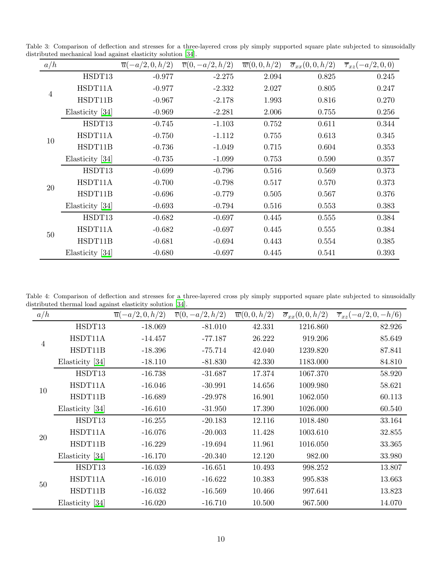Table 3: Comparison of deflection and stresses for a three-layered cross ply simply supported square plate subjected to sinusoidally distributed mechanical load against elasticity solution [\[34\]](#page-19-9).

<span id="page-9-0"></span>

| a/h            |                 | $\overline{u}(-a/2,0,h/2)$ | $\overline{v}(0, -a/2, h/2)$ | $\overline{w}(0,0,h/2)$ | $\overline{\sigma}_{xx}(0,0,h/2)$ | $\overline{\tau}_{xz}(-a/2,0,0)$ |
|----------------|-----------------|----------------------------|------------------------------|-------------------------|-----------------------------------|----------------------------------|
| $\overline{4}$ | HSDT13          | $-0.977$                   | $-2.275$                     | 2.094                   | 0.825                             | 0.245                            |
|                | HSDT11A         | $-0.977$                   | $-2.332$                     | 2.027                   | 0.805                             | 0.247                            |
|                | HSDT11B         | $-0.967$                   | $-2.178$                     | 1.993                   | 0.816                             | 0.270                            |
|                | Elasticity [34] | $-0.969$                   | $-2.281$                     | 2.006                   | 0.755                             | 0.256                            |
|                | HSDT13          | $-0.745$                   | $-1.103$                     | 0.752                   | 0.611                             | 0.344                            |
| 10             | HSDT11A         | $-0.750$                   | $-1.112$                     | 0.755                   | 0.613                             | 0.345                            |
|                | HSDT11B         | $-0.736$                   | $-1.049$                     | 0.715                   | 0.604                             | 0.353                            |
|                | Elasticity [34] | $-0.735$                   | $-1.099$                     | 0.753                   | 0.590                             | 0.357                            |
|                | HSDT13          | $-0.699$                   | $-0.796$                     | 0.516                   | 0.569                             | 0.373                            |
| $20\,$         | HSDT11A         | $-0.700$                   | $-0.798$                     | 0.517                   | 0.570                             | 0.373                            |
|                | HSDT11B         | $-0.696$                   | $-0.779$                     | 0.505                   | 0.567                             | 0.376                            |
|                | Elasticity [34] | $-0.693$                   | $-0.794$                     | 0.516                   | 0.553                             | 0.383                            |
|                | HSDT13          | $-0.682$                   | $-0.697$                     | 0.445                   | 0.555                             | 0.384                            |
| 50             | HSDT11A         | $-0.682$                   | $-0.697$                     | 0.445                   | 0.555                             | 0.384                            |
|                | HSDT11B         | $-0.681$                   | $-0.694$                     | 0.443                   | 0.554                             | 0.385                            |
|                | Elasticity [34] | $-0.680$                   | $-0.697$                     | 0.445                   | 0.541                             | 0.393                            |

Table 4: Comparison of deflection and stresses for a three-layered cross ply simply supported square plate subjected to sinusoidally distributed thermal load against elasticity solution [\[34\]](#page-19-9).

<span id="page-9-1"></span>

| a/h            |                 | $\overline{u}(-a/2,0,h/2)$ | $\overline{v}(0, -a/2, h/2)$ | $\overline{w}(0,0,h/2)$ | $\overline{\sigma}_{xx}(0,0,h/2)$ | $\overline{\tau}_{xz}(-a/2,0,-h/6)$ |
|----------------|-----------------|----------------------------|------------------------------|-------------------------|-----------------------------------|-------------------------------------|
|                | HSDT13          | $-18.069$                  | $-81.010$                    | 42.331                  | 1216.860                          | 82.926                              |
| $\overline{4}$ | HSDT11A         | $-14.457$                  | $-77.187$                    | 26.222                  | 919.206                           | 85.649                              |
|                | HSDT11B         | $-18.396$                  | $-75.714$                    | 42.040                  | 1239.820                          | 87.841                              |
|                | Elasticity [34] | $-18.110$                  | $-81.830$                    | 42.330                  | 1183.000                          | 84.810                              |
|                | HSDT13          | $-16.738$                  | $-31.687$                    | 17.374                  | 1067.370                          | 58.920                              |
| 10             | HSDT11A         | $-16.046$                  | $-30.991$                    | 14.656                  | 1009.980                          | 58.621                              |
|                | HSDT11B         | $-16.689$                  | $-29.978$                    | 16.901                  | 1062.050                          | 60.113                              |
|                | Elasticity [34] | $-16.610$                  | $-31.950$                    | 17.390                  | 1026.000                          | 60.540                              |
|                | HSDT13          | $-16.255$                  | $-20.183$                    | 12.116                  | 1018.480                          | 33.164                              |
| 20             | HSDT11A         | $-16.076$                  | $-20.003$                    | 11.428                  | 1003.610                          | 32.855                              |
|                | HSDT11B         | $-16.229$                  | $-19.694$                    | 11.961                  | 1016.050                          | 33.365                              |
|                | Elasticity [34] | $-16.170$                  | $-20.340$                    | 12.120                  | 982.00                            | 33.980                              |
| 50             | HSDT13          | $-16.039$                  | $-16.651$                    | 10.493                  | 998.252                           | 13.807                              |
|                | HSDT11A         | $-16.010$                  | $-16.622$                    | 10.383                  | 995.838                           | 13.663                              |
|                | HSDT11B         | $-16.032$                  | $-16.569$                    | 10.466                  | 997.641                           | 13.823                              |
|                | Elasticity [34] | $-16.020$                  | $-16.710$                    | 10.500                  | 967.500                           | 14.070                              |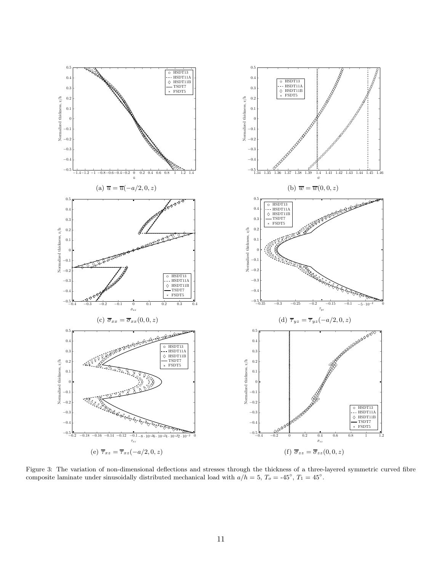

<span id="page-10-0"></span>Figure 3: The variation of non-dimensional deflections and stresses through the thickness of a three-layered symmetric curved fibre composite laminate under sinusoidally distributed mechanical load with  $a/h = 5$ ,  $T_0 = -45^\circ$ ,  $T_1 = 45^\circ$ .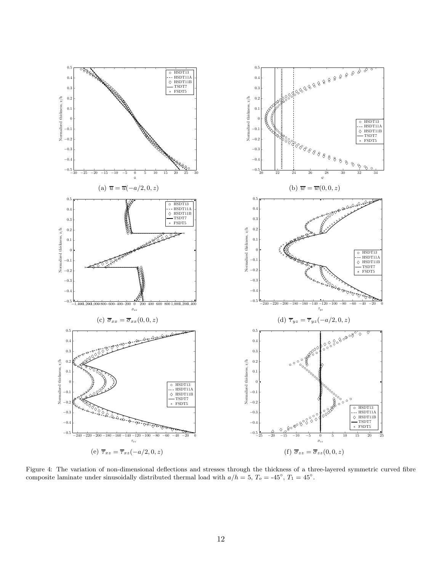

<span id="page-11-0"></span>Figure 4: The variation of non-dimensional deflections and stresses through the thickness of a three-layered symmetric curved fibre composite laminate under sinusoidally distributed thermal load with  $a/h = 5$ ,  $T_0 = -45^\circ$ ,  $T_1 = 45^\circ$ .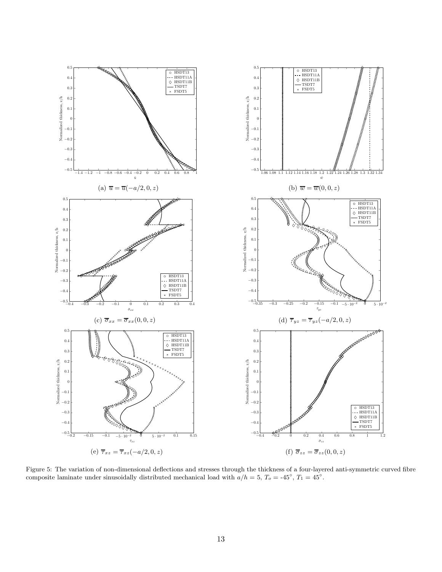

<span id="page-12-0"></span>Figure 5: The variation of non-dimensional deflections and stresses through the thickness of a four-layered anti-symmetric curved fibre composite laminate under sinusoidally distributed mechanical load with  $a/h = 5$ ,  $T_0 = -45^\circ$ ,  $T_1 = 45^\circ$ .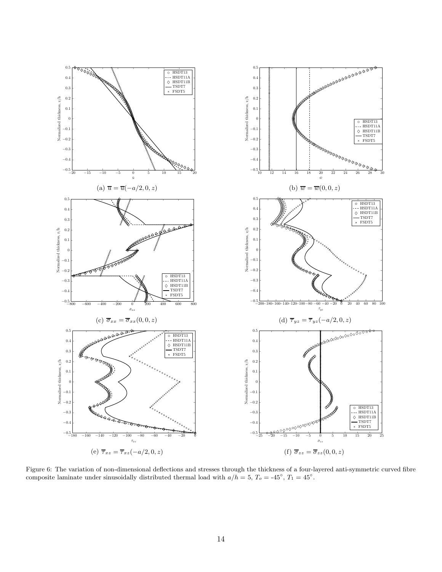

<span id="page-13-0"></span>Figure 6: The variation of non-dimensional deflections and stresses through the thickness of a four-layered anti-symmetric curved fibre composite laminate under sinusoidally distributed thermal load with  $a/h = 5$ ,  $T_0 = -45^\circ$ ,  $T_1 = 45^\circ$ .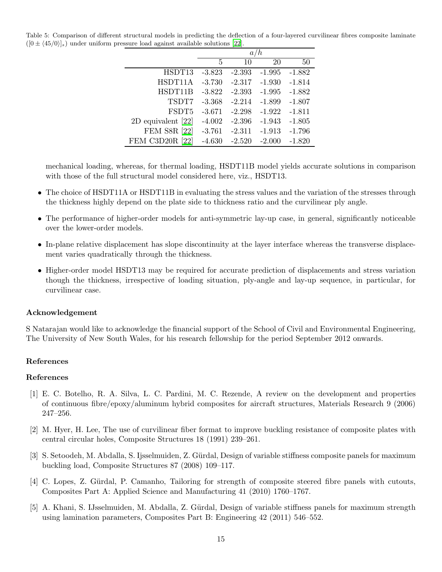<span id="page-14-5"></span>Table 5: Comparison of different structural models in predicting the deflection of a four-layered curvilinear fibres composite laminate  $([0 \pm \langle 45/0 \rangle]_s)$  under uniform pressure load against available solutions [\[22](#page-18-15)].

|                     | a/h      |          |          |          |
|---------------------|----------|----------|----------|----------|
|                     | 5        | 10       | 20       | 50       |
| HSDT13              | $-3.823$ | $-2.393$ | $-1.995$ | $-1.882$ |
| HSDT11A             | $-3.730$ | $-2.317$ | $-1.930$ | $-1.814$ |
| HSDT11B             | $-3.822$ | $-2.393$ | $-1.995$ | $-1.882$ |
| TSDT7               | $-3.368$ | $-2.214$ | $-1.899$ | $-1.807$ |
| FSDT5               | $-3.671$ | $-2.298$ | $-1.922$ | $-1.811$ |
| 2D equivalent [22]  | $-4.002$ | $-2.396$ | $-1.943$ | $-1.805$ |
| <b>FEM S8R [22]</b> | $-3.761$ | $-2.311$ | $-1.913$ | $-1.796$ |
| FEM C3D20R<br>[22]  | $-4.630$ | $-2.520$ | $-2.000$ | $-1.820$ |

mechanical loading, whereas, for thermal loading, HSDT11B model yields accurate solutions in comparison with those of the full structural model considered here, viz., HSDT13.

- The choice of HSDT11A or HSDT11B in evaluating the stress values and the variation of the stresses through the thickness highly depend on the plate side to thickness ratio and the curvilinear ply angle.
- The performance of higher-order models for anti-symmetric lay-up case, in general, significantly noticeable over the lower-order models.
- In-plane relative displacement has slope discontinuity at the layer interface whereas the transverse displacement varies quadratically through the thickness.
- Higher-order model HSDT13 may be required for accurate prediction of displacements and stress variation though the thickness, irrespective of loading situation, ply-angle and lay-up sequence, in particular, for curvilinear case.

## Acknowledgement

S Natarajan would like to acknowledge the financial support of the School of Civil and Environmental Engineering, The University of New South Wales, for his research fellowship for the period September 2012 onwards.

# References

## References

- <span id="page-14-0"></span>[1] E. C. Botelho, R. A. Silva, L. C. Pardini, M. C. Rezende, A review on the development and properties of continuous fibre/epoxy/aluminum hybrid composites for aircraft structures, Materials Research 9 (2006) 247–256.
- <span id="page-14-1"></span>[2] M. Hyer, H. Lee, The use of curvilinear fiber format to improve buckling resistance of composite plates with central circular holes, Composite Structures 18 (1991) 239–261.
- <span id="page-14-2"></span>[3] S. Setoodeh, M. Abdalla, S. Ijsselmuiden, Z. Gürdal, Design of variable stiffness composite panels for maximum buckling load, Composite Structures 87 (2008) 109–117.
- <span id="page-14-3"></span>[4] C. Lopes, Z. Gürdal, P. Camanho, Tailoring for strength of composite steered fibre panels with cutouts, Composites Part A: Applied Science and Manufacturing 41 (2010) 1760–1767.
- <span id="page-14-4"></span>[5] A. Khani, S. IJsselmuiden, M. Abdalla, Z. G¨urdal, Design of variable stiffness panels for maximum strength using lamination parameters, Composites Part B: Engineering 42 (2011) 546–552.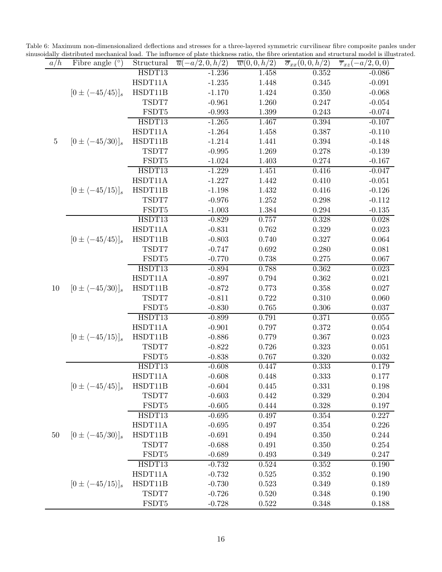Table 6: Maximum non-dimensionalized deflections and stresses for a three-layered symmetric curvilinear fibre composite panles under

<span id="page-15-0"></span>

| a/h     | Fibre angle $(°)$                  | Structural | $\overline{u}(-a/2,0,h/2)$ | $\overline{w}(0,0,h/2)$ | $\overline{\sigma}_{xx}(0,0,h/2)$ | sinusoidally distributed mechanical load. The influence of plate thickness ratio, the fibre orientation and structural model is illustrated.<br>$\overline{\tau}_{xz}(-a/2,0,0)$ |
|---------|------------------------------------|------------|----------------------------|-------------------------|-----------------------------------|----------------------------------------------------------------------------------------------------------------------------------------------------------------------------------|
|         |                                    | HSDT13     | $-1.236$                   | 1.458                   | $0.352\,$                         | $-0.086$                                                                                                                                                                         |
|         |                                    | HSDT11A    | $-1.235$                   | 1.448                   | 0.345                             | $-0.091$                                                                                                                                                                         |
|         | $[0 \pm \langle -45/45 \rangle]_s$ | HSDT11B    | $-1.170$                   | 1.424                   | 0.350                             | $-0.068$                                                                                                                                                                         |
|         |                                    | TSDT7      | $-0.961$                   | 1.260                   | 0.247                             | $-0.054$                                                                                                                                                                         |
|         |                                    | FSDT5      | $-0.993$                   | 1.399                   | 0.243                             | $-0.074$                                                                                                                                                                         |
|         |                                    | HSDT13     | $-1.265$                   | 1.467                   | 0.394                             | $-0.107$                                                                                                                                                                         |
|         |                                    | HSDT11A    | $-1.264$                   | 1.458                   | 0.387                             | $-0.110$                                                                                                                                                                         |
| $\bf 5$ | $[0 \pm \langle -45/30 \rangle]_s$ | HSDT11B    | $-1.214$                   | 1.441                   | 0.394                             | $-0.148$                                                                                                                                                                         |
|         |                                    | TSDT7      | $-0.995$                   | 1.269                   | 0.278                             | $-0.139$                                                                                                                                                                         |
|         |                                    | FSDT5      | $-1.024$                   | 1.403                   | 0.274                             | $-0.167$                                                                                                                                                                         |
|         |                                    | HSDT13     | $-1.229$                   | 1.451                   | 0.416                             | $-0.047$                                                                                                                                                                         |
|         |                                    | HSDT11A    | $-1.227$                   | 1.442                   | 0.410                             | $-0.051$                                                                                                                                                                         |
|         | $[0 \pm \langle -45/15 \rangle]_s$ | HSDT11B    | $-1.198$                   | 1.432                   | 0.416                             | $-0.126$                                                                                                                                                                         |
|         |                                    | TSDT7      | $-0.976$                   | 1.252                   | 0.298                             | $-0.112$                                                                                                                                                                         |
|         |                                    | FSDT5      | $-1.003$                   | 1.384                   | 0.294                             | $-0.135$                                                                                                                                                                         |
|         |                                    | HSDT13     | $-0.829$                   | 0.757                   | 0.328                             | 0.028                                                                                                                                                                            |
|         |                                    | HSDT11A    | $-0.831$                   | 0.762                   | 0.329                             | $\,0.023\,$                                                                                                                                                                      |
|         | $[0 \pm \langle -45/45 \rangle]_s$ | HSDT11B    | $-0.803$                   | 0.740                   | 0.327                             | 0.064                                                                                                                                                                            |
|         |                                    | TSDT7      | $-0.747$                   | 0.692                   | 0.280                             | 0.081                                                                                                                                                                            |
|         |                                    | FSDT5      | $-0.770$                   | 0.738                   | 0.275                             | 0.067                                                                                                                                                                            |
|         | $[0 \pm \langle -45/30 \rangle]_s$ | HSDT13     | $-0.894$                   | 0.788                   | 0.362                             | 0.023                                                                                                                                                                            |
|         |                                    | HSDT11A    | $-0.897$                   | 0.794                   | 0.362                             | 0.021                                                                                                                                                                            |
| $10\,$  |                                    | HSDT11B    | $-0.872$                   | 0.773                   | 0.358                             | 0.027                                                                                                                                                                            |
|         |                                    | TSDT7      | $-0.811$                   | 0.722                   | 0.310                             | 0.060                                                                                                                                                                            |
|         |                                    | FSDT5      | $-0.830$                   | 0.765                   | 0.306                             | 0.037                                                                                                                                                                            |
|         |                                    | HSDT13     | $-0.899$                   | 0.791                   | 0.371                             | 0.055                                                                                                                                                                            |
|         |                                    | HSDT11A    | $-0.901$                   | 0.797                   | 0.372                             | 0.054                                                                                                                                                                            |
|         | $[0 \pm \langle -45/15 \rangle]_s$ | HSDT11B    | $-0.886$                   | 0.779                   | 0.367                             | 0.023                                                                                                                                                                            |
|         |                                    | TSDT7      | $-0.822$                   | 0.726                   | 0.323                             | 0.051                                                                                                                                                                            |
|         |                                    | FSDT5      | $-0.838$                   | 0.767                   | 0.320                             | 0.032                                                                                                                                                                            |
|         |                                    | HSDT13     | $-0.608$                   | 0.447                   | 0.333                             | 0.179                                                                                                                                                                            |
|         |                                    | HSDT11A    | $-0.608$                   | 0.448                   | 0.333                             | 0.177                                                                                                                                                                            |
|         | $[0 \pm \langle -45/45 \rangle]_s$ | HSDT11B    | $-0.604$                   | 0.445                   | 0.331                             | 0.198                                                                                                                                                                            |
|         |                                    | TSDT7      | $-0.603$                   | 0.442                   | 0.329                             | 0.204                                                                                                                                                                            |
|         |                                    | FSDT5      | $-0.605$                   | 0.444                   | 0.328                             | 0.197                                                                                                                                                                            |
|         |                                    | HSDT13     | $-0.695$                   | 0.497                   | 0.354                             | 0.227                                                                                                                                                                            |
|         |                                    | HSDT11A    | $-0.695$                   | 0.497                   | 0.354                             | 0.226                                                                                                                                                                            |
| $50\,$  | $[0 \pm \langle -45/30 \rangle]_s$ | HSDT11B    | $-0.691$                   | 0.494                   | 0.350                             | 0.244                                                                                                                                                                            |
|         |                                    | TSDT7      | $-0.688$                   | 0.491                   | 0.350                             | 0.254                                                                                                                                                                            |
|         |                                    | FSDT5      | $-0.689$                   | 0.493                   | 0.349                             | 0.247                                                                                                                                                                            |
|         |                                    | HSDT13     | $-0.732$                   | 0.524                   | 0.352                             | $0.190\,$                                                                                                                                                                        |
|         |                                    | HSDT11A    | $-0.732$                   | 0.525                   | 0.352                             | 0.190                                                                                                                                                                            |
|         | $[0 \pm \langle -45/15 \rangle]_s$ | HSDT11B    | $-0.730$                   | 0.523                   | 0.349                             | 0.189                                                                                                                                                                            |
|         |                                    | TSDT7      | $-0.726$                   | 0.520                   | 0.348                             | 0.190                                                                                                                                                                            |
|         |                                    | FSDT5      | $-0.728$                   | 0.522                   | 0.348                             | 0.188                                                                                                                                                                            |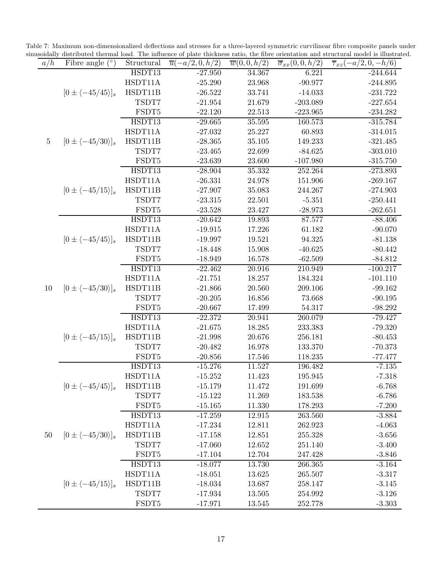Table 7: Maximum non-dimensionalized deflections and stresses for a three-layered symmetric curvilinear fibre composite panels under

<span id="page-16-0"></span>

| a/h     | $(^\circ)$<br>Fibre angle          | Structural | $\overline{u}(-a/2,0,h/2)$ | $\overline{w}(0,0,h/2)$ | $\overline{\sigma}_{xx}(0,0,h/2)$ | sinusoidally distributed thermal load. The influence of plate thickness ratio, the fibre orientation and structural model is illustrated.<br>$\overline{\tau}_{xz}(-a/2,0,-h/6)$ |
|---------|------------------------------------|------------|----------------------------|-------------------------|-----------------------------------|----------------------------------------------------------------------------------------------------------------------------------------------------------------------------------|
|         |                                    | HSDT13     | $-27.950$                  | 34.367                  | 6.221                             | $-244.644$                                                                                                                                                                       |
|         |                                    | HSDT11A    | $-25.290$                  | 23.968                  | $-90.977$                         | $-244.895$                                                                                                                                                                       |
|         | $[0 \pm \langle -45/45 \rangle]_s$ | HSDT11B    | $-26.522$                  | 33.741                  | $-14.033$                         | $-231.722$                                                                                                                                                                       |
|         |                                    | TSDT7      | $-21.954$                  | 21.679                  | $-203.089$                        | $-227.654$                                                                                                                                                                       |
|         |                                    | FSDT5      | $-22.120$                  | 22.513                  | $-223.965$                        | $-234.282$                                                                                                                                                                       |
|         |                                    | HSDT13     | $-29.665$                  | 35.595                  | 160.573                           | $-315.784$                                                                                                                                                                       |
|         |                                    | HSDT11A    | $-27.032$                  | 25.227                  | 60.893                            | $-314.015$                                                                                                                                                                       |
| $\bf 5$ | $[0 \pm \langle -45/30 \rangle]_s$ | HSDT11B    | $-28.365$                  | 35.105                  | 149.233                           | $-321.485$                                                                                                                                                                       |
|         |                                    | TSDT7      | $-23.465$                  | 22.699                  | $-84.625$                         | $-303.010$                                                                                                                                                                       |
|         |                                    | FSDT5      | $-23.639$                  | 23.600                  | $-107.980$                        | $-315.750$                                                                                                                                                                       |
|         |                                    | HSDT13     | $-28.904$                  | 35.332                  | 252.264                           | $-273.893$                                                                                                                                                                       |
|         |                                    | HSDT11A    | $-26.331$                  | 24.978                  | 151.906                           | $-269.167$                                                                                                                                                                       |
|         | $[0 \pm \langle -45/15 \rangle]_s$ | HSDT11B    | $-27.907$                  | 35.083                  | 244.267                           | $-274.903$                                                                                                                                                                       |
|         |                                    | TSDT7      | $-23.315$                  | 22.501                  | $-5.351$                          | $-250.441$                                                                                                                                                                       |
|         |                                    | FSDT5      | $-23.528$                  | 23.427                  | $-28.973$                         | $-262.651$                                                                                                                                                                       |
|         |                                    | HSDT13     | $-20.642$                  | 19.893                  | 87.577                            | $-88.406$                                                                                                                                                                        |
|         |                                    | HSDT11A    | $-19.915$                  | 17.226                  | 61.182                            | $-90.070$                                                                                                                                                                        |
|         | $[0 \pm \langle -45/45 \rangle]_s$ | HSDT11B    | $-19.997$                  | 19.521                  | 94.325                            | $-81.138$                                                                                                                                                                        |
|         |                                    | TSDT7      | $-18.448$                  | 15.908                  | $-40.625$                         | $-80.442$                                                                                                                                                                        |
|         |                                    | FSDT5      | $-18.949$                  | 16.578                  | $-62.509$                         | $-84.812$                                                                                                                                                                        |
|         |                                    | HSDT13     | $-22.462$                  | 20.916                  | 210.949                           | $-100.217$                                                                                                                                                                       |
|         | $[0 \pm \langle -45/30 \rangle]_s$ | HSDT11A    | $-21.751$                  | 18.257                  | 184.324                           | $-101.110$                                                                                                                                                                       |
| 10      |                                    | HSDT11B    | $-21.866$                  | 20.560                  | 209.106                           | $-99.162$                                                                                                                                                                        |
|         |                                    | TSDT7      | $-20.205$                  | 16.856                  | 73.668                            | $-90.195$                                                                                                                                                                        |
|         |                                    | FSDT5      | $-20.667$                  | 17.499                  | 54.317                            | $-98.292$                                                                                                                                                                        |
|         |                                    | HSDT13     | $-22.372$                  | 20.941                  | 260.079                           | $-79.427$                                                                                                                                                                        |
|         |                                    | HSDT11A    | $-21.675$                  | 18.285                  | 233.383                           | $-79.320$                                                                                                                                                                        |
|         | $[0 \pm \langle -45/15 \rangle]_s$ | HSDT11B    | $-21.998$                  | 20.676                  | 256.181                           | $-80.453$                                                                                                                                                                        |
|         |                                    | TSDT7      | $-20.482$                  | 16.978                  | 133.370                           | $-70.373$                                                                                                                                                                        |
|         |                                    | FSDT5      | $-20.856$                  | 17.546                  | 118.235                           | $-77.477$                                                                                                                                                                        |
|         |                                    | HSDT13     | $-15.276$                  | 11.527                  | 196.482                           | $-7.135$                                                                                                                                                                         |
|         |                                    | HSDT11A    | $-15.252$                  | 11.423                  | 195.945                           | $-7.318$                                                                                                                                                                         |
|         | $[0 \pm \langle -45/45 \rangle]_s$ | HSDT11B    | $-15.179$                  | 11.472                  | 191.699                           | $-6.768$                                                                                                                                                                         |
|         |                                    | TSDT7      | $-15.122$                  | 11.269                  | 183.538                           | $-6.786$                                                                                                                                                                         |
|         |                                    | FSDT5      | $-15.165$                  | 11.330                  | 178.293                           | $-7.200$                                                                                                                                                                         |
|         |                                    | HSDT13     | $-17.259$                  | 12.915                  | 263.560                           | $-3.884$                                                                                                                                                                         |
|         |                                    | HSDT11A    | $-17.234$                  | 12.811                  | 262.923                           | $-4.063$                                                                                                                                                                         |
| 50      | $[0 \pm \langle -45/30 \rangle]_s$ | HSDT11B    | $-17.158$                  | 12.851                  | 255.328                           | $-3.656$                                                                                                                                                                         |
|         |                                    | TSDT7      | $-17.060$                  | 12.652                  | 251.140                           | $-3.400$                                                                                                                                                                         |
|         |                                    | FSDT5      | $-17.104$                  | 12.704                  | 247.428                           | $-3.846$                                                                                                                                                                         |
|         |                                    | HSDT13     | $-18.077$                  | 13.730                  | 266.365                           | $-3.164$                                                                                                                                                                         |
|         |                                    | HSDT11A    | $-18.051$                  | $13.625\,$              | 265.507                           | $-3.317$                                                                                                                                                                         |
|         | $[0 \pm \langle -45/15 \rangle]_s$ | HSDT11B    | $-18.034$                  | 13.687                  | 258.147                           | $-3.145$                                                                                                                                                                         |
|         |                                    | TSDT7      | $-17.934$                  | 13.505                  | 254.992                           | $-3.126$                                                                                                                                                                         |
|         |                                    | FSDT5      | $-17.971$                  | 13.545                  | 252.778                           | $-3.303$                                                                                                                                                                         |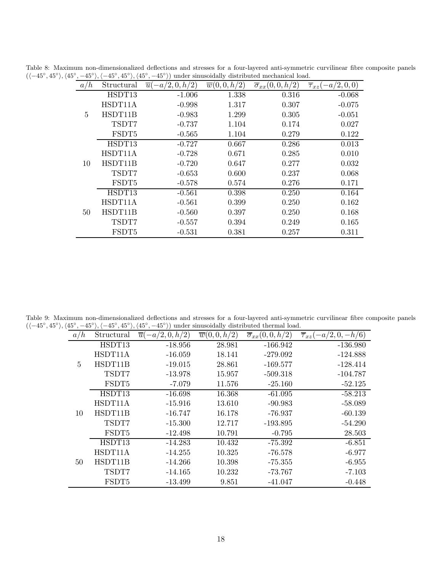<span id="page-17-0"></span>

|  |        | Table 8: Maximum non-dimensionalized deflections and stresses for a four-layered anti-symmetric curvilinear fibre composite panels                                                                     |       |       |          |  |
|--|--------|--------------------------------------------------------------------------------------------------------------------------------------------------------------------------------------------------------|-------|-------|----------|--|
|  |        | $(\langle -45^\circ, 45^\circ \rangle, \langle 45^\circ, -45^\circ \rangle, \langle -45^\circ, 45^\circ \rangle, \langle 45^\circ, -45^\circ \rangle)$ under sinusoidally distributed mechanical load. |       |       |          |  |
|  |        | $a/h$ Structural $\overline{u}(-a/2,0,h/2)$ $\overline{w}(0,0,h/2)$ $\overline{\sigma}_{xx}(0,0,h/2)$ $\overline{\tau}_{xz}(-a/2,0,0)$                                                                 |       |       |          |  |
|  | HSDT13 | $-1.006$                                                                                                                                                                                               | 1.338 | 0.316 | $-0.068$ |  |

|    | HSDT13  | $-1.006$ | 1.338 | 0.316 | $-0.068$ |
|----|---------|----------|-------|-------|----------|
| 5  | HSDT11A | $-0.998$ | 1.317 | 0.307 | $-0.075$ |
|    | HSDT11B | $-0.983$ | 1.299 | 0.305 | $-0.051$ |
|    | TSDT7   | $-0.737$ | 1.104 | 0.174 | 0.027    |
|    | FSDT5   | $-0.565$ | 1.104 | 0.279 | 0.122    |
|    | HSDT13  | $-0.727$ | 0.667 | 0.286 | 0.013    |
|    | HSDT11A | $-0.728$ | 0.671 | 0.285 | 0.010    |
| 10 | HSDT11B | $-0.720$ | 0.647 | 0.277 | 0.032    |
|    | TSDT7   | $-0.653$ | 0.600 | 0.237 | 0.068    |
|    | FSDT5   | $-0.578$ | 0.574 | 0.276 | 0.171    |
|    | HSDT13  | $-0.561$ | 0.398 | 0.250 | 0.164    |
|    | HSDT11A | $-0.561$ | 0.399 | 0.250 | 0.162    |
| 50 | HSDT11B | $-0.560$ | 0.397 | 0.250 | 0.168    |
|    | TSDT7   | $-0.557$ | 0.394 | 0.249 | 0.165    |
|    | FSDT5   | $-0.531$ | 0.381 | 0.257 | 0.311    |

Table 9: Maximum non-dimensionalized deflections and stresses for a four-layered anti-symmetric curvilinear fibre composite panels  $(\langle -45^\circ, 45^\circ \rangle, \langle 45^\circ, -45^\circ \rangle, \langle -45^\circ, 45^\circ \rangle, \langle 45^\circ, -45^\circ \rangle)$  under sinusoidally distributed thermal load.  $\overline{\phantom{a}}$ 

<span id="page-17-1"></span>

| a/n            | Structural | (2,0,h/2)<br>$\overline{u}$ | $\overline{w}(0,0,h/2)$ | $\overline{\sigma}_{xx}(0,0,h/2)$ | $-a/2, 0, -h/6$<br>$\overline{\tau}_{xz}$ |
|----------------|------------|-----------------------------|-------------------------|-----------------------------------|-------------------------------------------|
| $\overline{5}$ | HSDT13     | $-18.956$                   | 28.981                  | $-166.942$                        | $-136.980$                                |
|                | HSDT11A    | $-16.059$                   | 18.141                  | $-279.092$                        | $-124.888$                                |
|                | HSDT11B    | $-19.015$                   | 28.861                  | $-169.577$                        | $-128.414$                                |
|                | TSDT7      | $-13.978$                   | 15.957                  | $-509.318$                        | $-104.787$                                |
|                | FSDT5      | $-7.079$                    | 11.576                  | $-25.160$                         | $-52.125$                                 |
|                | HSDT13     | $-16.698$                   | 16.368                  | $-61.095$                         | $-58.213$                                 |
|                | HSDT11A    | $-15.916$                   | 13.610                  | $-90.983$                         | $-58.089$                                 |
| 10             | HSDT11B    | $-16.747$                   | 16.178                  | -76.937                           | $-60.139$                                 |
|                | TSDT7      | $-15.300$                   | 12.717                  | $-193.895$                        | $-54.290$                                 |
|                | FSDT5      | $-12.498$                   | 10.791                  | $-0.795$                          | 28.503                                    |
|                | HSDT13     | $-14.283$                   | 10.432                  | $-75.392$                         | $-6.851$                                  |
|                | HSDT11A    | $-14.255$                   | 10.325                  | $-76.578$                         | $-6.977$                                  |
| 50             | HSDT11B    | $-14.266$                   | 10.398                  | $-75.355$                         | $-6.955$                                  |
|                | TSDT7      | $-14.165$                   | 10.232                  | -73.767                           | $-7.103$                                  |
|                | FSDT5      | $-13.499$                   | 9.851                   | $-41.047$                         | $-0.448$                                  |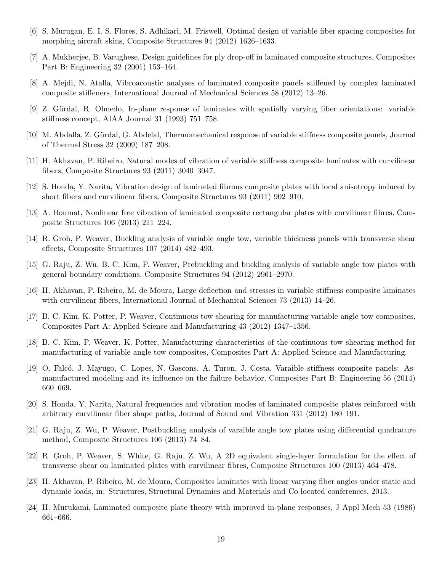- <span id="page-18-0"></span>[6] S. Murugan, E. I. S. Flores, S. Adhikari, M. Friswell, Optimal design of variable fiber spacing composites for morphing aircraft skins, Composite Structures 94 (2012) 1626–1633.
- <span id="page-18-1"></span>[7] A. Mukherjee, B. Varughese, Design guidelines for ply drop-off in laminated composite structures, Composites Part B: Engineering 32 (2001) 153–164.
- <span id="page-18-2"></span>[8] A. Mejdi, N. Atalla, Vibroacoustic analyses of laminated composite panels stiffened by complex laminated composite stiffeners, International Journal of Mechanical Sciences 58 (2012) 13–26.
- <span id="page-18-3"></span>[9] Z. Gürdal, R. Olmedo, In-plane response of laminates with spatially varying fiber orientations: variable stiffness concept, AIAA Journal 31 (1993) 751–758.
- <span id="page-18-4"></span>[10] M. Abdalla, Z. Gürdal, G. Abdelal, Thermomechanical response of variable stiffness composite panels, Journal of Thermal Stress 32 (2009) 187–208.
- <span id="page-18-5"></span>[11] H. Akhavan, P. Ribeiro, Natural modes of vibration of variable stiffness composite laminates with curvilinear fibers, Composite Structures 93 (2011) 3040–3047.
- <span id="page-18-6"></span>[12] S. Honda, Y. Narita, Vibration design of laminated fibrous composite plates with local anisotropy induced by short fibers and curvilinear fibers, Composite Structures 93 (2011) 902–910.
- <span id="page-18-7"></span>[13] A. Houmat, Nonlinear free vibration of laminated composite rectangular plates with curvilinear fibres, Composite Structures 106 (2013) 211–224.
- <span id="page-18-8"></span>[14] R. Groh, P. Weaver, Buckling analysis of variable angle tow, variable thickness panels with transverse shear effects, Composite Structures 107 (2014) 482–493.
- <span id="page-18-9"></span>[15] G. Raju, Z. Wu, B. C. Kim, P. Weaver, Prebuckling and buckling analysis of variable angle tow plates with general boundary conditions, Composite Structures 94 (2012) 2961–2970.
- <span id="page-18-10"></span>[16] H. Akhavan, P. Ribeiro, M. de Moura, Large deflection and stresses in variable stiffness composite laminates with curvilinear fibers, International Journal of Mechanical Sciences 73 (2013) 14–26.
- <span id="page-18-11"></span>[17] B. C. Kim, K. Potter, P. Weaver, Continuous tow shearing for manufacturing variable angle tow composites, Composites Part A: Applied Science and Manufacturing 43 (2012) 1347–1356.
- <span id="page-18-12"></span>[18] B. C. Kim, P. Weaver, K. Potter, Manufacturing characteristics of the continuous tow shearing method for manufacturing of variable angle tow composites, Composites Part A: Applied Science and Manufacturing.
- [19] O. Falcó, J. Mayugo, C. Lopes, N. Gascons, A. Turon, J. Costa, Varaible stiffness composite panels: Asmanufactured modeling and its influence on the failure behavior, Composites Part B: Engineering 56 (2014) 660–669.
- <span id="page-18-13"></span>[20] S. Honda, Y. Narita, Natural frequencies and vibration modes of laminated composite plates reinforced with arbitrary curvilinear fiber shape paths, Journal of Sound and Vibration 331 (2012) 180–191.
- <span id="page-18-14"></span>[21] G. Raju, Z. Wu, P. Weaver, Postbuckling analysis of varaible angle tow plates using differential quadrature method, Composite Structures 106 (2013) 74–84.
- <span id="page-18-15"></span>[22] R. Groh, P. Weaver, S. White, G. Raju, Z. Wu, A 2D equivalent single-layer formulation for the effect of transverse shear on laminated plates with curvilinear fibres, Composite Structures 100 (2013) 464–478.
- <span id="page-18-16"></span>[23] H. Akhavan, P. Ribeiro, M. de Moura, Composites laminates with linear varying fiber angles under static and dynamic loads, in: Structures, Structural Dynamics and Materials and Co-located conferences, 2013.
- <span id="page-18-17"></span>[24] H. Murukami, Laminated composite plate theory with improved in-plane responses, J Appl Mech 53 (1986) 661–666.